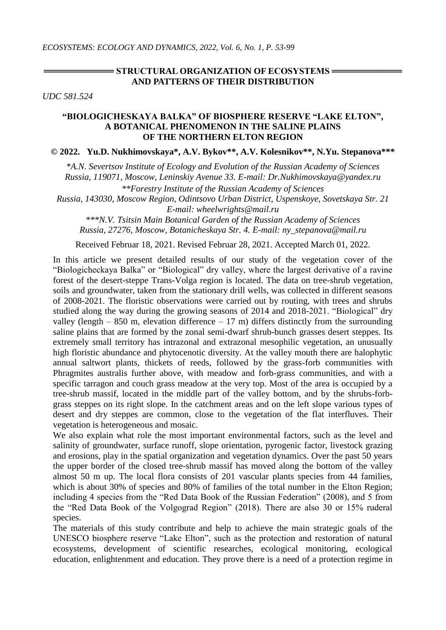## **= STRUCTURAL ORGANIZATION OF ECOSYSTEMS == AND PATTERNS OF THEIR DISTRIBUTION**

*UDC 581.524*

## **"BIOLOGICHESKAYA BALKA" OF BIOSPHERE RESERVE "LAKE ELTON", A BOTANICAL PHENOMENON IN THE SALINE PLAINS OF THE NORTHERN ELTON REGION**

## **© 2022. Yu.D. Nukhimovskaya\*, A.V. Bykov\*\*, A.V. Kolesnikov\*\*, N.Yu. Stepanova\*\*\***

*\*A.N. Severtsov Institute of Ecology and Evolution of the Russian Academy of Sciences Russia, 119071, Moscow, Leninskiy Avenue 33. E-mail: Dr.Nukhimovskaya@yandex.ru*

*\*\*Forestry Institute of the Russian Academy of Sciences Russia, 143030, Moscow Region, Odintsovo Urban District, Uspenskoye, Sovetskaya Str. 21 E-mail: wheelwrights@mail.ru*

*\*\*\*N.V. Tsitsin Main Botanical Garden of the Russian Academy of Sciences Russia, 27276, Moscow, Botanicheskaya Str. 4. E-mail: ny\_stepanova@mail.ru*

Received Februar 18, 2021. Revised Februar 28, 2021. Accepted March 01, 2022.

In this article we present detailed results of our study of the vegetation cover of the "Biologicheckaya Balka" or "Biological" dry valley, where the largest derivative of a ravine forest of the desert-steppe Trans-Volga region is located. The data on tree-shrub vegetation, soils and groundwater, taken from the stationary drill wells, was collected in different seasons of 2008-2021. The floristic observations were carried out by routing, with trees and shrubs studied along the way during the growing seasons of 2014 and 2018-2021. "Biological" dry valley (length  $- 850$  m, elevation difference  $- 17$  m) differs distinctly from the surrounding saline plains that are formed by the zonal semi-dwarf shrub-bunch grasses desert steppes. Its extremely small territory has intrazonal and extrazonal mesophilic vegetation, an unusually high floristic abundance and phytocenotic diversity. At the valley mouth there are halophytic annual saltwort plants, thickets of reeds, followed by the grass-forb communities with Phragmites australis further above, with meadow and forb-grass communities, and with a specific tarragon and couch grass meadow at the very top. Most of the area is occupied by a tree-shrub massif, located in the middle part of the valley bottom, and by the shrubs-forbgrass steppes on its right slope. In the catchment areas and on the left slope various types of desert and dry steppes are common, close to the vegetation of the flat interfluves. Their vegetation is heterogeneous and mosaic.

We also explain what role the most important environmental factors, such as the level and salinity of groundwater, surface runoff, slope orientation, pyrogenic factor, livestock grazing and erosions, play in the spatial organization and vegetation dynamics. Over the past 50 years the upper border of the closed tree-shrub massif has moved along the bottom of the valley almost 50 m up. The local flora consists of 201 vascular plants species from 44 families, which is about 30% of species and 80% of families of the total number in the Elton Region; including 4 species from the "Red Data Book of the Russian Federation" (2008), and 5 from the "Red Data Book of the Volgograd Region" (2018). There are also 30 or 15% ruderal species.

The materials of this study contribute and help to achieve the main strategic goals of the UNESCO biosphere reserve "Lake Elton", such as the protection and restoration of natural ecosystems, development of scientific researches, ecological monitoring, ecological education, enlightenment and education. They prove there is a need of a protection regime in